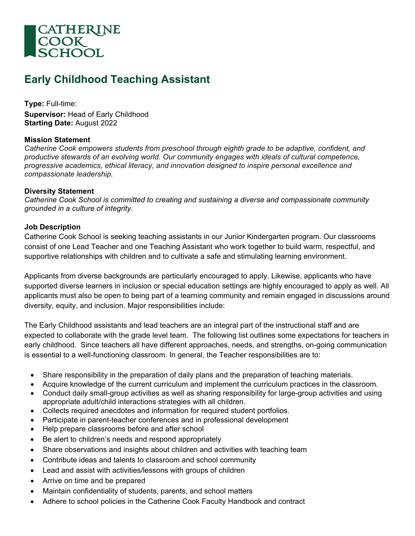

# **Early Childhood Teaching Assistant**

**Type:** Full-time: **Supervisor:** Head of Early Childhood **Starting Date:** August 2022

### **Mission Statement**

*Catherine Cook empowers students from preschool through eighth grade to be adaptive, confident, and productive stewards of an evolving world. Our community engages with ideals of cultural competence, progressive academics, ethical literacy, and innovation designed to inspire personal excellence and compassionate leadership.*

# **Diversity Statement**

*Catherine Cook School is committed to creating and sustaining a diverse and compassionate community grounded in a culture of integrity.*

### **Job Description**

Catherine Cook School is seeking teaching assistants in our Junior Kindergarten program. Our classrooms consist of one Lead Teacher and one Teaching Assistant who work together to build warm, respectful, and supportive relationships with children and to cultivate a safe and stimulating learning environment.

Applicants from diverse backgrounds are particularly encouraged to apply. Likewise, applicants who have supported diverse learners in inclusion or special education settings are highly encouraged to apply as well. All applicants must also be open to being part of a learning community and remain engaged in discussions around diversity, equity, and inclusion. Major responsibilities include:

The Early Childhood assistants and lead teachers are an integral part of the instructional staff and are expected to collaborate with the grade level team. The following list outlines some expectations for teachers in early childhood. Since teachers all have different approaches, needs, and strengths, on-going communication is essential to a well-functioning classroom. In general, the Teacher responsibilities are to:

- Share responsibility in the preparation of daily plans and the preparation of teaching materials.
- Acquire knowledge of the current curriculum and implement the curriculum practices in the classroom.
- Conduct daily small-group activities as well as sharing responsibility for large-group activities and using appropriate adult/child interactions strategies with all children.
- Collects required anecdotes and information for required student portfolios.
- Participate in parent-teacher conferences and in professional development
- Help prepare classrooms before and after school
- Be alert to children's needs and respond appropriately
- Share observations and insights about children and activities with teaching team
- Contribute ideas and talents to classroom and school community
- Lead and assist with activities/lessons with groups of children
- Arrive on time and be prepared
- Maintain confidentiality of students, parents, and school matters
- Adhere to school policies in the Catherine Cook Faculty Handbook and contract